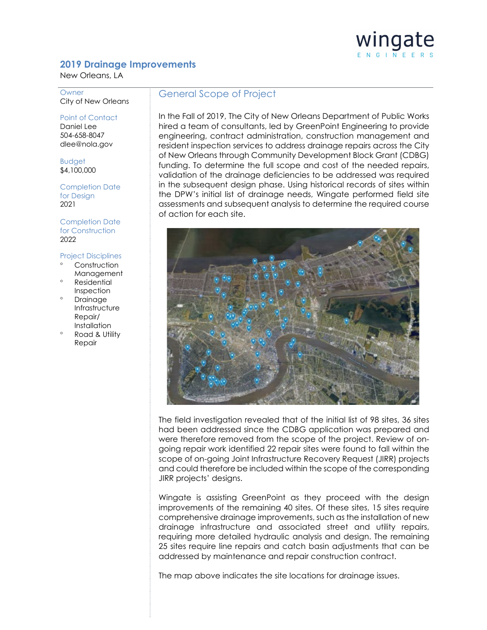## wingate ENGINEERS

## **2019 Drainage Improvements**

New Orleans, LA

**Owner** City of New Orleans

Point of Contact Daniel Lee 504-658-8047 dlee@nola.gov

Budget \$4,100,000

Completion Date for Design 2021

Completion Date for Construction 2022

## Project Disciplines

- Construction Management
- ° Residential Inspection
- **Drainage Infrastructure** Repair/ **Installation**
- Road & Utility Repair

## General Scope of Project

In the Fall of 2019, The City of New Orleans Department of Public Works hired a team of consultants, led by GreenPoint Engineering to provide engineering, contract administration, construction management and resident inspection services to address drainage repairs across the City of New Orleans through Community Development Block Grant (CDBG) funding. To determine the full scope and cost of the needed repairs, validation of the drainage deficiencies to be addressed was required in the subsequent design phase. Using historical records of sites within the DPW's initial list of drainage needs, Wingate performed field site assessments and subsequent analysis to determine the required course of action for each site.



The field investigation revealed that of the initial list of 98 sites, 36 sites had been addressed since the CDBG application was prepared and were therefore removed from the scope of the project. Review of ongoing repair work identified 22 repair sites were found to fall within the scope of on-going Joint Infrastructure Recovery Request (JIRR) projects and could therefore be included within the scope of the corresponding JIRR projects' designs.

Wingate is assisting GreenPoint as they proceed with the design improvements of the remaining 40 sites. Of these sites, 15 sites require comprehensive drainage improvements, such as the installation of new drainage infrastructure and associated street and utility repairs, requiring more detailed hydraulic analysis and design. The remaining 25 sites require line repairs and catch basin adjustments that can be addressed by maintenance and repair construction contract.

The map above indicates the site locations for drainage issues.